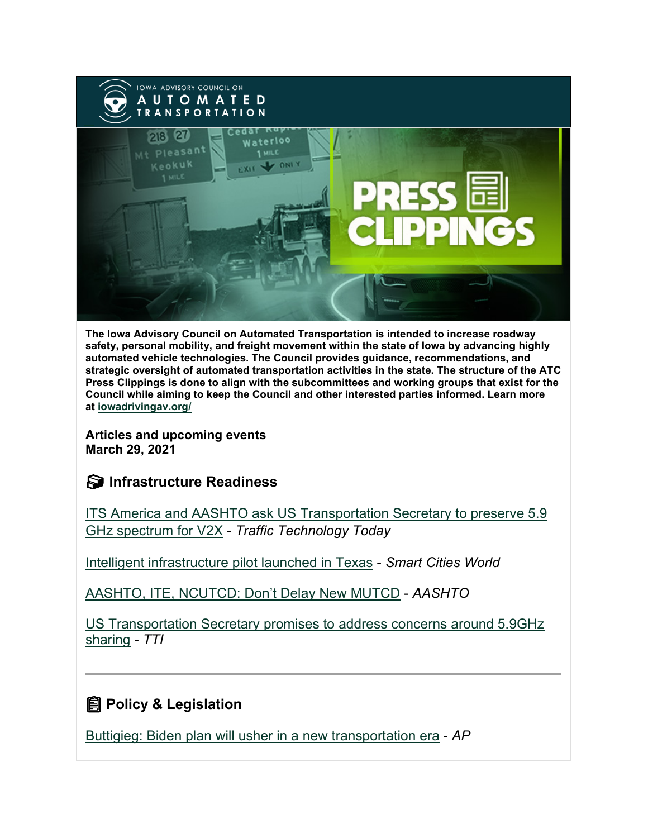

**The Iowa Advisory Council on Automated Transportation is intended to increase roadway safety, personal mobility, and freight movement within the state of Iowa by advancing highly automated vehicle technologies. The Council provides guidance, recommendations, and strategic oversight of automated transportation activities in the state. The structure of the ATC Press Clippings is done to align with the subcommittees and working groups that exist for the Council while aiming to keep the Council and other interested parties informed. Learn more at [iowadrivingav.org/](https://iowadrivingav.org/?utm_medium=email&utm_source=govdelivery)**

**Articles and upcoming events March 29, 2021**

# **S** Infrastructure Readiness

[ITS America and AASHTO ask US Transportation Secretary to preserve 5.9](https://www.traffictechnologytoday.com/news/connected-vehicles-infrastructure/its-america-and-aashto-ask-us-transportation-secretary-to-preserve-5-9-ghz-spectrum-for-v2x.html?utm_medium=email&utm_source=govdelivery)  [GHz spectrum for V2X](https://www.traffictechnologytoday.com/news/connected-vehicles-infrastructure/its-america-and-aashto-ask-us-transportation-secretary-to-preserve-5-9-ghz-spectrum-for-v2x.html?utm_medium=email&utm_source=govdelivery) - *Traffic Technology Today*

[Intelligent infrastructure pilot launched in Texas](https://www.smartcitiesworld.net/news/news/intelligent-infrastructure-pilot-launched-in-texas-6179?utm_medium=email&utm_source=govdelivery) - *Smart Cities World*

[AASHTO, ITE, NCUTCD: Don't Delay New MUTCD](https://aashtojournal.org/2021/03/19/aashto-ite-ncutcd-dont-delay-new-mutcd/?utm_medium=email&utm_source=govdelivery) - *AASHTO*

[US Transportation Secretary promises to address concerns around 5.9GHz](https://www.traffictechnologytoday.com/news/connected-vehicles-infrastructure/us-transportation-secretary-promises-to-address-concerns-around-5-9ghz-sharing.html?utm_medium=email&utm_source=govdelivery)  [sharing](https://www.traffictechnologytoday.com/news/connected-vehicles-infrastructure/us-transportation-secretary-promises-to-address-concerns-around-5-9ghz-sharing.html?utm_medium=email&utm_source=govdelivery) - *TTI*

# **<u></u></u> Policy & Legislation**

[Buttigieg: Biden plan will usher in a new transportation era](https://apnews.com/article/joe-biden-dwight-eisenhower-transportation-coronavirus-pandemic-pete-buttigieg-9b58f1c57d26ae1740c635034a22baf0?utm_medium=email&utm_source=govdelivery) - *AP*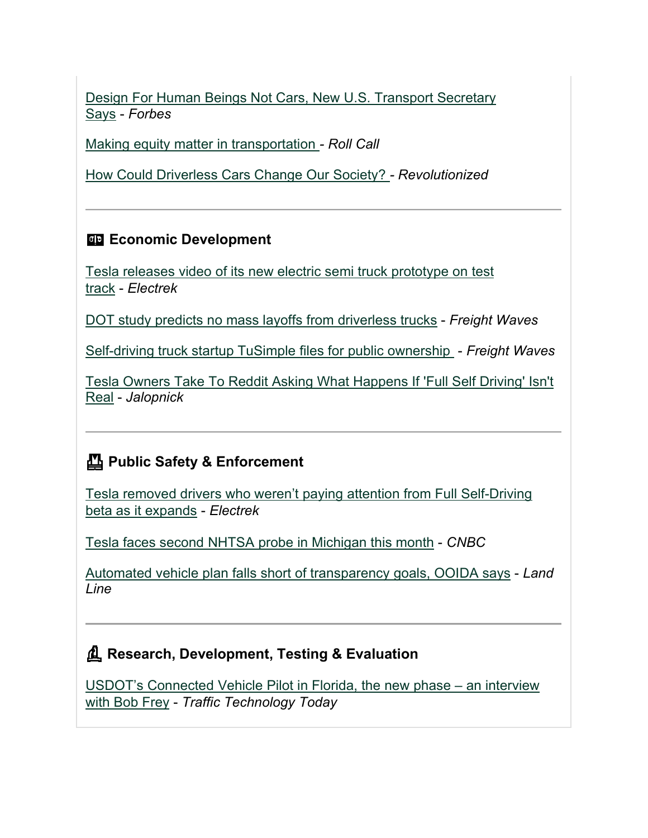[Design For Human Beings Not Cars, New U.S. Transport Secretary](https://www.forbes.com/sites/carltonreid/2021/03/22/design-for-human-beings-not-cars-new-us-transport-secretary-says/?sh=4fea7ede7d86&utm_medium=email&utm_source=govdelivery)  [Says](https://www.forbes.com/sites/carltonreid/2021/03/22/design-for-human-beings-not-cars-new-us-transport-secretary-says/?sh=4fea7ede7d86&utm_medium=email&utm_source=govdelivery) - *Forbes*

[Making equity matter in transportation](https://www.rollcall.com/2021/03/24/making-equity-matter-in-transportation/?utm_medium=email&utm_source=govdelivery) *- Roll Call*

[How Could Driverless Cars Change Our Society?](https://revolutionized.com/driverless-cars/?utm_medium=email&utm_source=govdelivery) *- Revolutionized*

### **Economic Development**

[Tesla releases video of its new electric semi truck prototype on test](https://electrek.co/2021/03/14/tesla-video-electric-semi-truck-prototype-test-track/?utm_medium=email&utm_source=govdelivery)  [track](https://electrek.co/2021/03/14/tesla-video-electric-semi-truck-prototype-test-track/?utm_medium=email&utm_source=govdelivery) - *Electrek*

[DOT study predicts no mass layoffs from driverless trucks](https://www.freightwaves.com/news/dot-study-predicts-no-mass-layoffs-from-driverless-trucks?utm_medium=email&utm_source=govdelivery) - *Freight Waves*

[Self-driving truck startup TuSimple files for public ownership](https://www.freightwaves.com/news/self-driving-truck-startup-tusimple-files-for-public-ownership?utm_medium=email&utm_source=govdelivery) - *Freight Waves*

[Tesla Owners Take To Reddit Asking What Happens If 'Full Self Driving' Isn't](https://jalopnik.com/tesla-owners-take-to-reddit-asking-what-happens-if-full-1846553907?utm_medium=email&utm_source=govdelivery)  [Real](https://jalopnik.com/tesla-owners-take-to-reddit-asking-what-happens-if-full-1846553907?utm_medium=email&utm_source=govdelivery) - *Jalopnick*

# **Public Safety & Enforcement**

[Tesla removed drivers who weren't paying attention from Full Self-Driving](https://electrek.co/2021/03/12/tesla-removed-drivers-werent-paying-attention-from-full-self-driving-beta/?utm_medium=email&utm_source=govdelivery)  [beta as it expands](https://electrek.co/2021/03/12/tesla-removed-drivers-werent-paying-attention-from-full-self-driving-beta/?utm_medium=email&utm_source=govdelivery) - *Electrek*

[Tesla faces second NHTSA probe in Michigan this month](https://www.cnbc.com/2021/03/17/tesla-in-autopilot-hits-police-car-in-michigan-officials-say.html?utm_medium=email&utm_source=govdelivery) - *CNBC*

[Automated vehicle plan falls short of transparency goals, OOIDA says](https://landline.media/automated-vehicle-plan-falls-short-of-transparency-goals-ooida-says/?utm_medium=email&utm_source=govdelivery) - *Land Line*

## **Research, Development, Testing & Evaluation**

[USDOT's Connected Vehicle Pilot in Florida, the new phase –](https://www.traffictechnologytoday.com/podcast/the-tti-podcast-usdots-connected-vehicle-pilot-in-florida-an-interview-with-bob-frey.html?utm_medium=email&utm_source=govdelivery) an interview [with Bob Frey](https://www.traffictechnologytoday.com/podcast/the-tti-podcast-usdots-connected-vehicle-pilot-in-florida-an-interview-with-bob-frey.html?utm_medium=email&utm_source=govdelivery) - *Traffic Technology Today*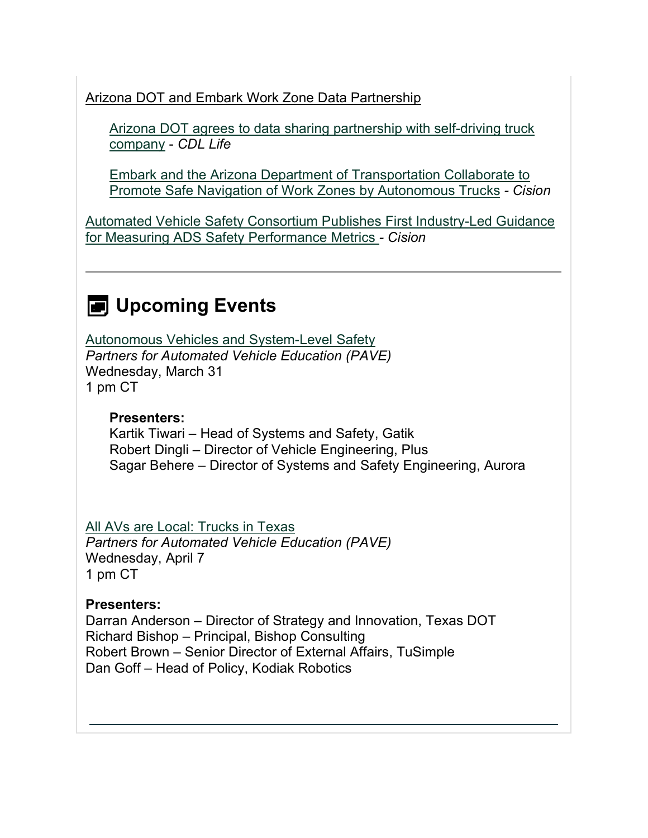Arizona DOT and Embark Work Zone Data Partnership

[Arizona DOT agrees to data sharing partnership with self-driving truck](https://cdllife.com/2021/arizona-dot-agrees-to-data-sharing-partnership-with-self-driving-truck-company/?utm_medium=email&utm_source=govdelivery)  [company](https://cdllife.com/2021/arizona-dot-agrees-to-data-sharing-partnership-with-self-driving-truck-company/?utm_medium=email&utm_source=govdelivery) - *CDL Life*

[Embark and the Arizona Department of Transportation Collaborate to](https://www.prnewswire.com/news-releases/embark-and-the-arizona-department-of-transportation-collaborate-to-promote-safe-navigation-of-work-zones-by-autonomous-trucks-301254519.html?utm_medium=email&utm_source=govdelivery)  [Promote Safe Navigation of Work Zones by Autonomous Trucks](https://www.prnewswire.com/news-releases/embark-and-the-arizona-department-of-transportation-collaborate-to-promote-safe-navigation-of-work-zones-by-autonomous-trucks-301254519.html?utm_medium=email&utm_source=govdelivery) *- Cision*

[Automated Vehicle Safety Consortium Publishes First Industry-Led Guidance](https://www.prweb.com/releases/automated_vehicle_safety_consortium_publishes_first_industry_led_guidance_for_measuring_ads_safety_performance_metrics/prweb17820900.htm?utm_medium=email&utm_source=govdelivery)  [for Measuring ADS Safety Performance Metrics](https://www.prweb.com/releases/automated_vehicle_safety_consortium_publishes_first_industry_led_guidance_for_measuring_ads_safety_performance_metrics/prweb17820900.htm?utm_medium=email&utm_source=govdelivery) *- Cision*

# **E** Upcoming Events

[Autonomous Vehicles and System-Level Safety](https://pavecampaign.org/event/pave-virtual-panel-autonomous-vehicles-and-system-level-safety/?utm_medium=email&utm_source=govdelivery) *Partners for Automated Vehicle Education (PAVE)* Wednesday, March 31 1 pm CT

#### **Presenters:**

Kartik Tiwari – Head of Systems and Safety, Gatik Robert Dingli – Director of Vehicle Engineering, Plus Sagar Behere – Director of Systems and Safety Engineering, Aurora

[All AVs are Local: Trucks in Texas](https://pavecampaign.org/event/pave-virtual-panel-all-avs-are-local-trucks-in-texas/?utm_medium=email&utm_source=govdelivery) *Partners for Automated Vehicle Education (PAVE)* Wednesday, April 7 1 pm CT

#### **Presenters:**

Darran Anderson – Director of Strategy and Innovation, Texas DOT Richard Bishop – Principal, Bishop Consulting Robert Brown – Senior Director of External Affairs, TuSimple Dan Goff – Head of Policy, Kodiak Robotics